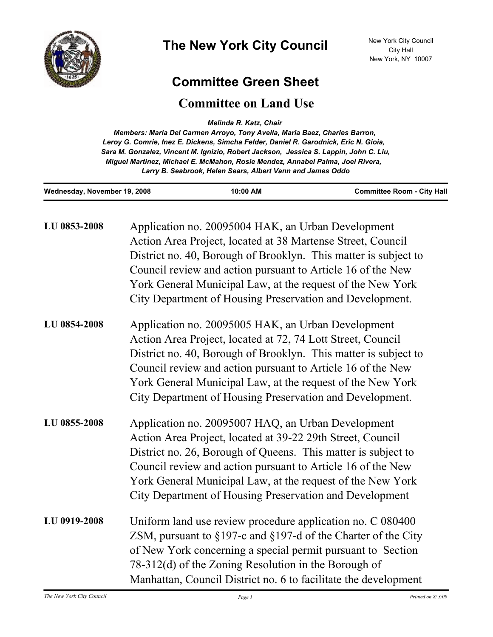

## **Committee Green Sheet**

## **Committee on Land Use**

*Melinda R. Katz, Chair* 

*Members: Maria Del Carmen Arroyo, Tony Avella, Maria Baez, Charles Barron, Leroy G. Comrie, Inez E. Dickens, Simcha Felder, Daniel R. Garodnick, Eric N. Gioia, Sara M. Gonzalez, Vincent M. Ignizio, Robert Jackson, Jessica S. Lappin, John C. Liu, Miguel Martinez, Michael E. McMahon, Rosie Mendez, Annabel Palma, Joel Rivera, Larry B. Seabrook, Helen Sears, Albert Vann and James Oddo*

| Wednesday, November 19, 2008 |                                                                                                                                                                                                                                                                                                                                                                           | 10:00 AM                                                                                                                                                                                                                                                                                                                                                                      | <b>Committee Room - City Hall</b> |
|------------------------------|---------------------------------------------------------------------------------------------------------------------------------------------------------------------------------------------------------------------------------------------------------------------------------------------------------------------------------------------------------------------------|-------------------------------------------------------------------------------------------------------------------------------------------------------------------------------------------------------------------------------------------------------------------------------------------------------------------------------------------------------------------------------|-----------------------------------|
| LU 0853-2008                 |                                                                                                                                                                                                                                                                                                                                                                           | Application no. 20095004 HAK, an Urban Development<br>Action Area Project, located at 38 Martense Street, Council<br>District no. 40, Borough of Brooklyn. This matter is subject to<br>Council review and action pursuant to Article 16 of the New<br>York General Municipal Law, at the request of the New York<br>City Department of Housing Preservation and Development. |                                   |
| LU 0854-2008                 |                                                                                                                                                                                                                                                                                                                                                                           | Application no. 20095005 HAK, an Urban Development<br>Action Area Project, located at 72, 74 Lott Street, Council<br>District no. 40, Borough of Brooklyn. This matter is subject to<br>Council review and action pursuant to Article 16 of the New<br>York General Municipal Law, at the request of the New York<br>City Department of Housing Preservation and Development. |                                   |
| LU 0855-2008                 | Application no. 20095007 HAQ, an Urban Development<br>Action Area Project, located at 39-22 29th Street, Council<br>District no. 26, Borough of Queens. This matter is subject to<br>Council review and action pursuant to Article 16 of the New<br>York General Municipal Law, at the request of the New York<br>City Department of Housing Preservation and Development |                                                                                                                                                                                                                                                                                                                                                                               |                                   |
| LU 0919-2008                 |                                                                                                                                                                                                                                                                                                                                                                           | Uniform land use review procedure application no. C 080400<br>ZSM, pursuant to $\S 197$ -c and $\S 197$ -d of the Charter of the City<br>of New York concerning a special permit pursuant to Section<br>78-312(d) of the Zoning Resolution in the Borough of<br>Manhattan, Council District no. 6 to facilitate the development                                               |                                   |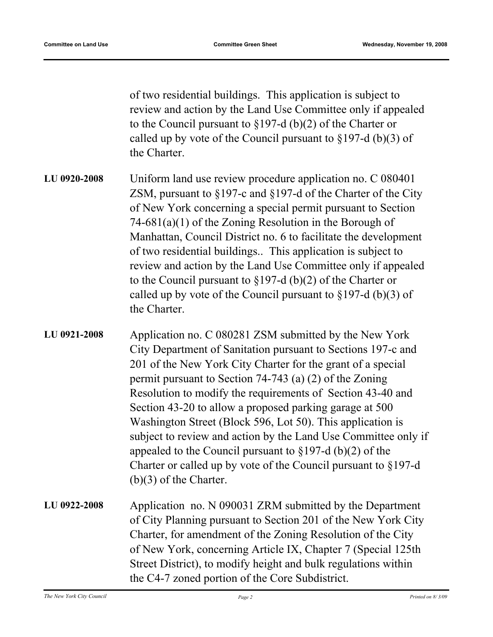of two residential buildings. This application is subject to review and action by the Land Use Committee only if appealed to the Council pursuant to §197-d (b)(2) of the Charter or called up by vote of the Council pursuant to  $\S 197-d$  (b)(3) of the Charter.

- Uniform land use review procedure application no. C 080401 ZSM, pursuant to §197-c and §197-d of the Charter of the City of New York concerning a special permit pursuant to Section 74-681(a)(1) of the Zoning Resolution in the Borough of Manhattan, Council District no. 6 to facilitate the development of two residential buildings.. This application is subject to review and action by the Land Use Committee only if appealed to the Council pursuant to §197-d (b)(2) of the Charter or called up by vote of the Council pursuant to  $\S 197-d$  (b)(3) of the Charter. **LU 0920-2008**
- Application no. C 080281 ZSM submitted by the New York City Department of Sanitation pursuant to Sections 197-c and 201 of the New York City Charter for the grant of a special permit pursuant to Section 74-743 (a) (2) of the Zoning Resolution to modify the requirements of Section 43-40 and Section 43-20 to allow a proposed parking garage at 500 Washington Street (Block 596, Lot 50). This application is subject to review and action by the Land Use Committee only if appealed to the Council pursuant to  $\S 197-d (b)(2)$  of the Charter or called up by vote of the Council pursuant to §197-d (b)(3) of the Charter. **LU 0921-2008**
- Application no. N 090031 ZRM submitted by the Department of City Planning pursuant to Section 201 of the New York City Charter, for amendment of the Zoning Resolution of the City of New York, concerning Article IX, Chapter 7 (Special 125th Street District), to modify height and bulk regulations within the C4-7 zoned portion of the Core Subdistrict. **LU 0922-2008**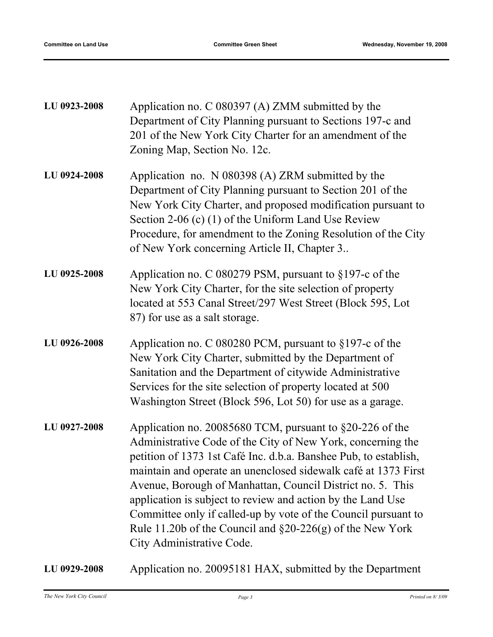| LU 0923-2008 | Application no. C 080397 (A) ZMM submitted by the<br>Department of City Planning pursuant to Sections 197-c and<br>201 of the New York City Charter for an amendment of the<br>Zoning Map, Section No. 12c.                                                                                                                                                                                                                                                                                                                                               |
|--------------|-----------------------------------------------------------------------------------------------------------------------------------------------------------------------------------------------------------------------------------------------------------------------------------------------------------------------------------------------------------------------------------------------------------------------------------------------------------------------------------------------------------------------------------------------------------|
| LU 0924-2008 | Application no. N 080398 (A) ZRM submitted by the<br>Department of City Planning pursuant to Section 201 of the<br>New York City Charter, and proposed modification pursuant to<br>Section 2-06 (c) $(1)$ of the Uniform Land Use Review<br>Procedure, for amendment to the Zoning Resolution of the City<br>of New York concerning Article II, Chapter 3                                                                                                                                                                                                 |
| LU 0925-2008 | Application no. C 080279 PSM, pursuant to §197-c of the<br>New York City Charter, for the site selection of property<br>located at 553 Canal Street/297 West Street (Block 595, Lot<br>87) for use as a salt storage.                                                                                                                                                                                                                                                                                                                                     |
| LU 0926-2008 | Application no. C 080280 PCM, pursuant to $§197$ -c of the<br>New York City Charter, submitted by the Department of<br>Sanitation and the Department of citywide Administrative<br>Services for the site selection of property located at 500<br>Washington Street (Block 596, Lot 50) for use as a garage.                                                                                                                                                                                                                                               |
| LU 0927-2008 | Application no. 20085680 TCM, pursuant to §20-226 of the<br>Administrative Code of the City of New York, concerning the<br>petition of 1373 1st Café Inc. d.b.a. Banshee Pub, to establish,<br>maintain and operate an unenclosed sidewalk café at 1373 First<br>Avenue, Borough of Manhattan, Council District no. 5. This<br>application is subject to review and action by the Land Use<br>Committee only if called-up by vote of the Council pursuant to<br>Rule 11.20b of the Council and $\S20-226(g)$ of the New York<br>City Administrative Code. |
| LU 0929-2008 | Application no. 20095181 HAX, submitted by the Department                                                                                                                                                                                                                                                                                                                                                                                                                                                                                                 |